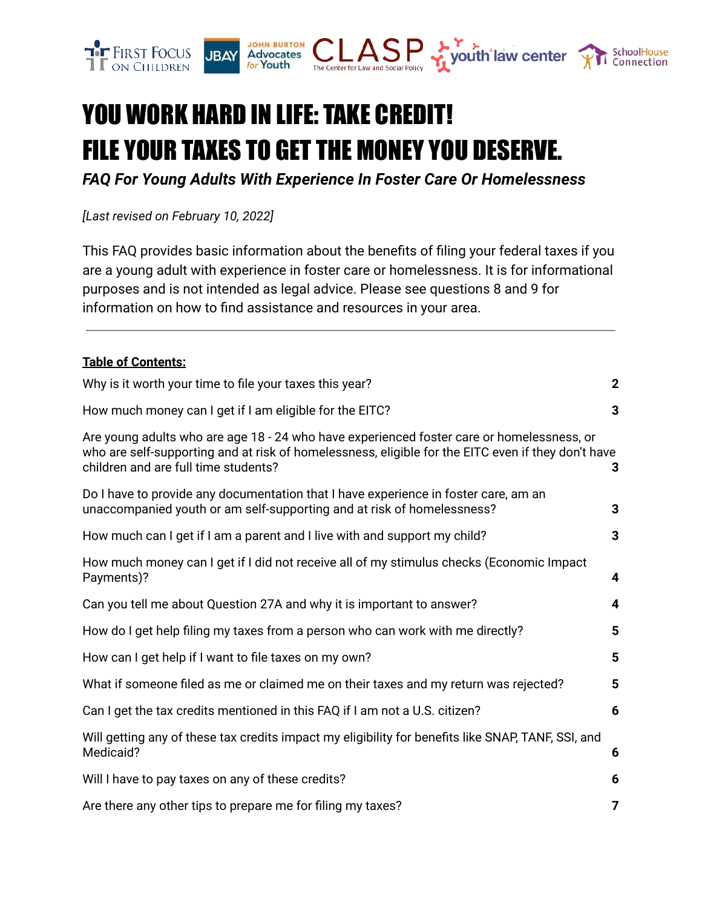

# YOU WORK HARD IN LIFE: TAKE CREDIT! FILE YOUR TAXES TO GET THE MONEY YOU DESERVE.

*FAQ For Young Adults With Experience In Foster Care Or Homelessness*

*[Last revised on February 10, 2022]*

This FAQ provides basic information about the benefits of filing your federal taxes if you are a young adult with experience in foster care or homelessness. It is for informational purposes and is not intended as legal advice. Please see questions 8 and 9 for information on how to find assistance and resources in your area.

#### **Table of Contents:**

| Why is it worth your time to file your taxes this year?                                                                                                                                                                                 | $\mathbf{2}$ |
|-----------------------------------------------------------------------------------------------------------------------------------------------------------------------------------------------------------------------------------------|--------------|
| How much money can I get if I am eligible for the EITC?                                                                                                                                                                                 | 3            |
| Are young adults who are age 18 - 24 who have experienced foster care or homelessness, or<br>who are self-supporting and at risk of homelessness, eligible for the EITC even if they don't have<br>children and are full time students? | 3            |
| Do I have to provide any documentation that I have experience in foster care, am an<br>unaccompanied youth or am self-supporting and at risk of homelessness?                                                                           | 3            |
| How much can I get if I am a parent and I live with and support my child?                                                                                                                                                               | 3            |
| How much money can I get if I did not receive all of my stimulus checks (Economic Impact<br>Payments)?                                                                                                                                  | 4            |
| Can you tell me about Question 27A and why it is important to answer?                                                                                                                                                                   | 4            |
| How do I get help filing my taxes from a person who can work with me directly?                                                                                                                                                          | 5            |
| How can I get help if I want to file taxes on my own?                                                                                                                                                                                   | 5            |
| What if someone filed as me or claimed me on their taxes and my return was rejected?                                                                                                                                                    | 5            |
| Can I get the tax credits mentioned in this FAQ if I am not a U.S. citizen?                                                                                                                                                             | 6            |
| Will getting any of these tax credits impact my eligibility for benefits like SNAP, TANF, SSI, and<br>Medicaid?                                                                                                                         | 6            |
| Will I have to pay taxes on any of these credits?                                                                                                                                                                                       | 6            |
| Are there any other tips to prepare me for filing my taxes?                                                                                                                                                                             | 7            |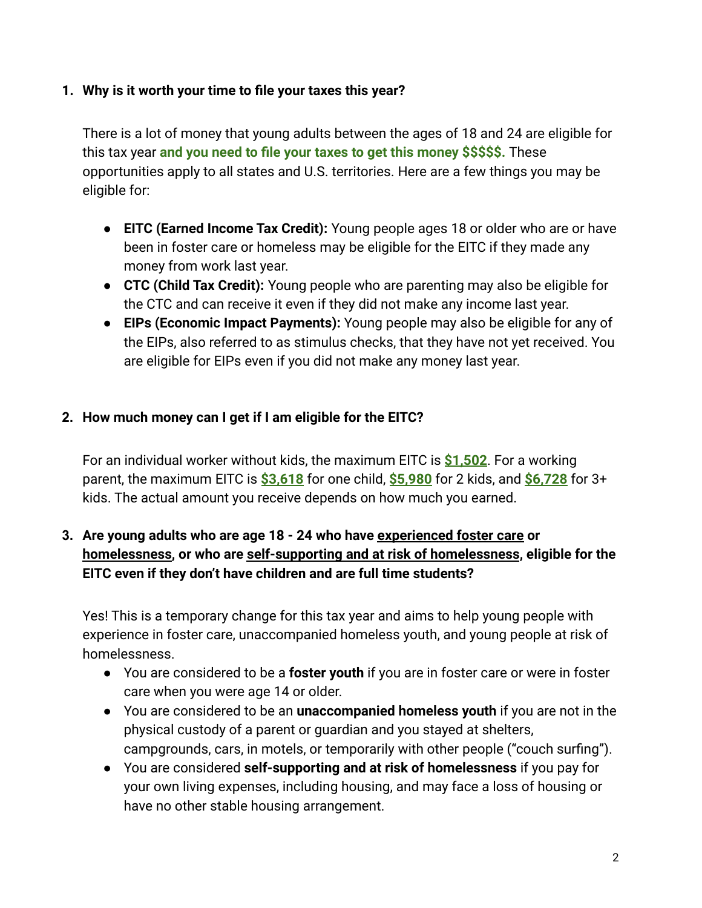#### <span id="page-1-0"></span>**1. Why is it worth your time to file your taxes this year?**

There is a lot of money that young adults between the ages of 18 and 24 are eligible for this tax year **and you need to file your taxes to get this money \$\$\$\$\$.** These opportunities apply to all states and U.S. territories. Here are a few things you may be eligible for:

- **EITC (Earned Income Tax Credit):** Young people ages 18 or older who are or have been in foster care or homeless may be eligible for the EITC if they made any money from work last year.
- **CTC (Child Tax Credit):** Young people who are parenting may also be eligible for the CTC and can receive it even if they did not make any income last year.
- **EIPs (Economic Impact Payments):** Young people may also be eligible for any of the EIPs, also referred to as stimulus checks, that they have not yet received. You are eligible for EIPs even if you did not make any money last year.

## <span id="page-1-1"></span>**2. How much money can I get if I am eligible for the EITC?**

For an individual worker without kids, the maximum EITC is **\$1,502**. For a working parent, the maximum EITC is **\$3,618** for one child, **\$5,980** for 2 kids, and **\$6,728** for 3+ kids. The actual amount you receive depends on how much you earned.

# <span id="page-1-2"></span>**3. Are young adults who are age 18 - 24 who have experienced foster care or homelessness, or who are self-supporting and at risk of homelessness, eligible for the EITC even if they don't have children and are full time students?**

Yes! This is a temporary change for this tax year and aims to help young people with experience in foster care, unaccompanied homeless youth, and young people at risk of homelessness.

- You are considered to be a **foster youth** if you are in foster care or were in foster care when you were age 14 or older.
- You are considered to be an **unaccompanied homeless youth** if you are not in the physical custody of a parent or guardian and you stayed at shelters, campgrounds, cars, in motels, or temporarily with other people ("couch surfing").
- You are considered **self-supporting and at risk of homelessness** if you pay for your own living expenses, including housing, and may face a loss of housing or have no other stable housing arrangement.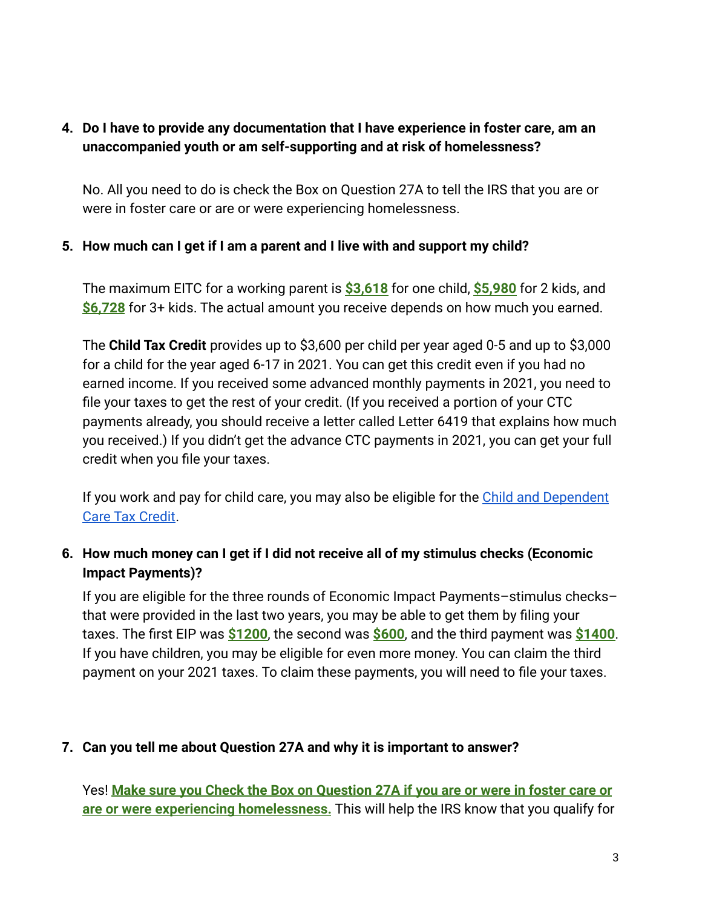## <span id="page-2-0"></span>**4. Do I have to provide any documentation that I have experience in foster care, am an unaccompanied youth or am self-supporting and at risk of homelessness?**

No. All you need to do is check the Box on Question 27A to tell the IRS that you are or were in foster care or are or were experiencing homelessness.

#### <span id="page-2-1"></span>**5. How much can I get if I am a parent and I live with and support my child?**

The maximum EITC for a working parent is **\$3,618** for one child, **\$5,980** for 2 kids, and **\$6,728** for 3+ kids. The actual amount you receive depends on how much you earned.

The **Child Tax Credit** provides up to \$3,600 per child per year aged 0-5 and up to \$3,000 for a child for the year aged 6-17 in 2021. You can get this credit even if you had no earned income. If you received some advanced monthly payments in 2021, you need to file your taxes to get the rest of your credit. (If you received a portion of your CTC payments already, you should receive a letter called Letter 6419 that explains how much you received.) If you didn't get the advance CTC payments in 2021, you can get your full credit when you file your taxes.

If you work and pay for child care, you may also be eligible for the [Child and Dependent](https://nwlc.org/resource/claim-your-money-the-child-and-dependent-care-credit-in-2021/) [Care Tax Credit](https://nwlc.org/resource/claim-your-money-the-child-and-dependent-care-credit-in-2021/).

## **6. How much money can I get if I did not receive all of my stimulus checks (Economic Impact Payments)?**

<span id="page-2-2"></span>If you are eligible for the three rounds of Economic Impact Payments–stimulus checks– that were provided in the last two years, you may be able to get them by filing your taxes. The first EIP was **\$1200**, the second was **\$600**, and the third payment was **\$1400**. If you have children, you may be eligible for even more money. You can claim the third payment on your 2021 taxes. To claim these payments, you will need to file your taxes.

#### <span id="page-2-3"></span>**7. Can you tell me about Question 27A and why it is important to answer?**

Yes! **Make sure you Check the Box on Question 27A if you are or were in foster care or are or were experiencing homelessness.** This will help the IRS know that you qualify for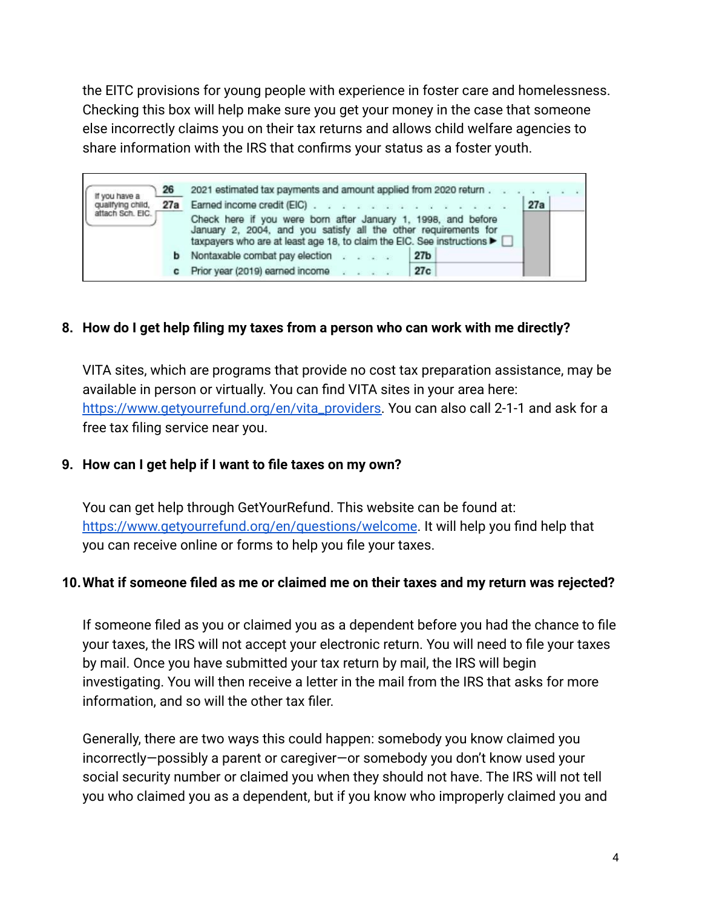the EITC provisions for young people with experience in foster care and homelessness. Checking this box will help make sure you get your money in the case that someone else incorrectly claims you on their tax returns and allows child welfare agencies to share information with the IRS that confirms your status as a foster youth.

2021 estimated tax payments and amount applied from 2020 return. 26 If you have a 27a qualifying child, 27a Earned income credit (EIC). attach Sch. EIC. Check here if you were born after January 1, 1998, and before January 2, 2004, and you satisfy all the other requirements for taxpayers who are at least age 18, to claim the EIC. See instructions ▶ [ **b** Nontaxable combat pay election . .  $27<sub>b</sub>$ c Prior year (2019) earned income  $27c$ **Victoria** 

#### <span id="page-3-0"></span>**8. How do I get help filing my taxes from a person who can work with me directly?**

VITA sites, which are programs that provide no cost tax preparation assistance, may be available in person or virtually. You can find VITA sites in your area here: [https://www.getyourrefund.org/en/vita\\_providers.](https://www.getyourrefund.org/en/vita_providers) You can also call 2-1-1 and ask for a free tax filing service near you.

#### <span id="page-3-1"></span>**9. How can I get help if I want to file taxes on my own?**

You can get help through GetYourRefund. This website can be found at: <https://www.getyourrefund.org/en/questions/welcome>. It will help you find help that you can receive online or forms to help you file your taxes.

#### <span id="page-3-2"></span>**10.What if someone filed as me or claimed me on their taxes and my return was rejected?**

If someone filed as you or claimed you as a dependent before you had the chance to file your taxes, the IRS will not accept your electronic return. You will need to file your taxes by mail. Once you have submitted your tax return by mail, the IRS will begin investigating. You will then receive a letter in the mail from the IRS that asks for more information, and so will the other tax filer.

Generally, there are two ways this could happen: somebody you know claimed you incorrectly—possibly a parent or caregiver—or somebody you don't know used your social security number or claimed you when they should not have. The IRS will not tell you who claimed you as a dependent, but if you know who improperly claimed you and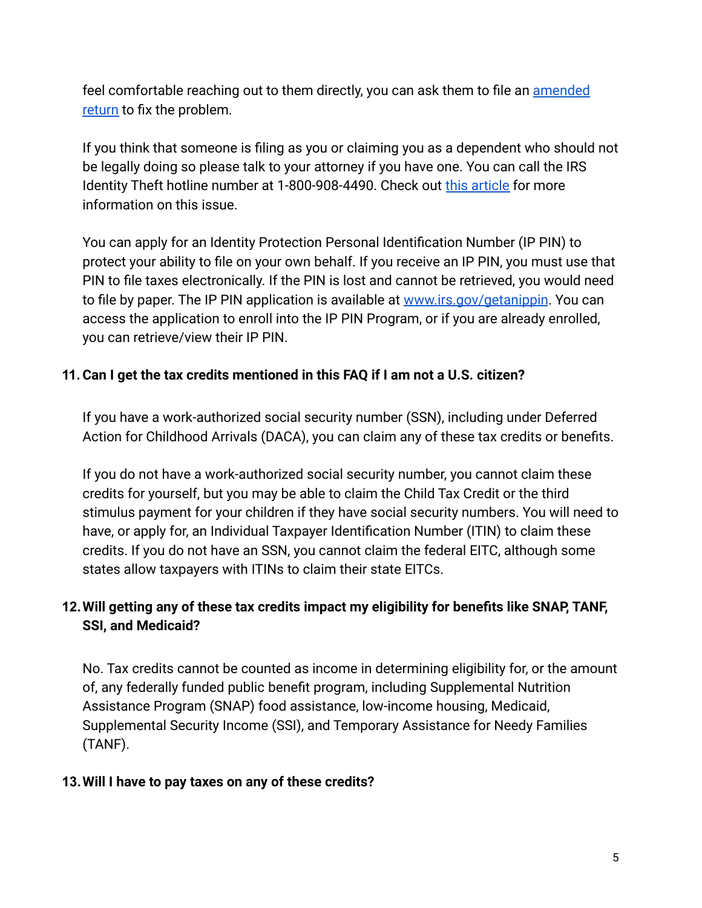feel comfortable reaching out to them directly, you can ask them to file an [amended](https://www.irs.gov/taxtopics/tc308) [return](https://www.irs.gov/taxtopics/tc308) to fix the problem.

If you think that someone is filing as you or claiming you as a dependent who should not be legally doing so please talk to your attorney if you have one. You can call the IRS Identity Theft hotline number at 1-800-908-4490. Check out [this article](https://www.mybanktracker.com/blog/taxes/claimed-dependent-wrongly-308108) for more information on this issue.

You can apply for an Identity Protection Personal Identification Number (IP PIN) to protect your ability to file on your own behalf. If you receive an IP PIN, you must use that PIN to file taxes electronically. If the PIN is lost and cannot be retrieved, you would need to file by paper. The IP PIN application is available at [www.irs.gov/getanippin](http://www.irs.gov/getanippin). You can access the application to enroll into the IP PIN Program, or if you are already enrolled, you can retrieve/view their IP PIN.

## <span id="page-4-0"></span>**11. Can I get the tax credits mentioned in this FAQ if I am not a U.S. citizen?**

If you have a work-authorized social security number (SSN), including under Deferred Action for Childhood Arrivals (DACA), you can claim any of these tax credits or benefits.

If you do not have a work-authorized social security number, you cannot claim these credits for yourself, but you may be able to claim the Child Tax Credit or the third stimulus payment for your children if they have social security numbers. You will need to have, or apply for, an Individual Taxpayer Identification Number (ITIN) to claim these credits. If you do not have an SSN, you cannot claim the federal EITC, although some states allow taxpayers with ITINs to claim their state EITCs.

# <span id="page-4-1"></span>**12.Will getting any of these tax credits impact my eligibility for benefits like SNAP, TANF, SSI, and Medicaid?**

No. Tax credits cannot be counted as income in determining eligibility for, or the amount of, any federally funded public benefit program, including Supplemental Nutrition Assistance Program (SNAP) food assistance, low-income housing, Medicaid, Supplemental Security Income (SSI), and Temporary Assistance for Needy Families (TANF).

## <span id="page-4-2"></span>**13.Will I have to pay taxes on any of these credits?**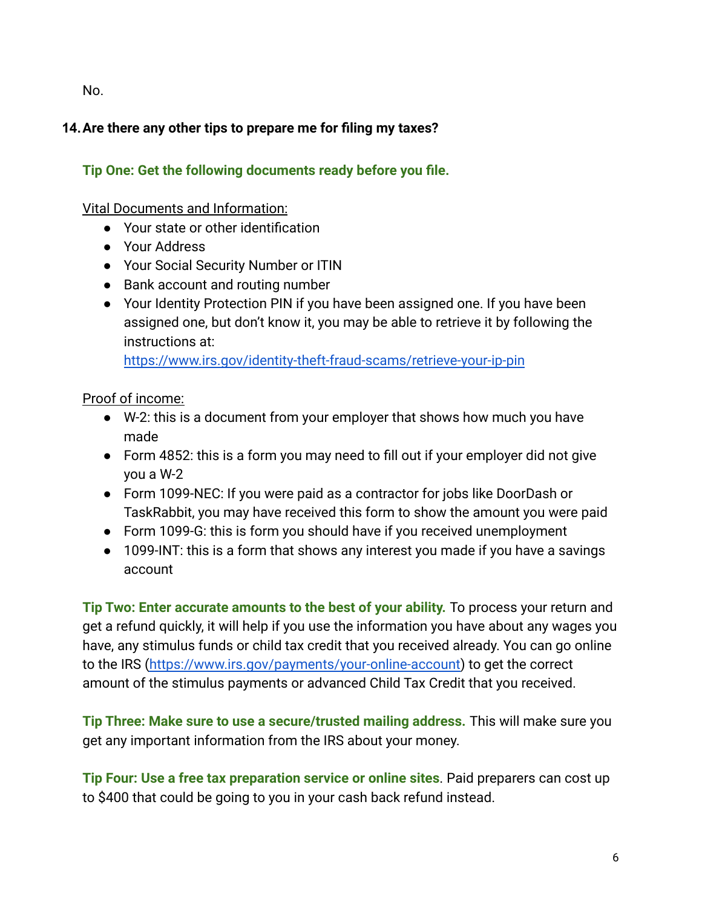<span id="page-5-0"></span>No.

# **14.Are there any other tips to prepare me for filing my taxes?**

# **Tip One: Get the following documents ready before you file.**

#### Vital Documents and Information:

- Your state or other identification
- Your Address
- Your Social Security Number or ITIN
- Bank account and routing number
- Your Identity Protection PIN if you have been assigned one. If you have been assigned one, but don't know it, you may be able to retrieve it by following the instructions at:

<https://www.irs.gov/identity-theft-fraud-scams/retrieve-your-ip-pin>

## Proof of income:

- W-2: this is a document from your employer that shows how much you have made
- Form 4852: this is a form you may need to fill out if your employer did not give you a W-2
- Form 1099-NEC: If you were paid as a contractor for jobs like DoorDash or TaskRabbit, you may have received this form to show the amount you were paid
- Form 1099-G: this is form you should have if you received unemployment
- 1099-INT: this is a form that shows any interest you made if you have a savings account

**Tip Two: Enter accurate amounts to the best of your ability.** To process your return and get a refund quickly, it will help if you use the information you have about any wages you have, any stimulus funds or child tax credit that you received already. You can go online to the IRS [\(https://www.irs.gov/payments/your-online-account\)](https://www.irs.gov/payments/your-online-account) to get the correct amount of the stimulus payments or advanced Child Tax Credit that you received.

**Tip Three: Make sure to use a secure/trusted mailing address.** This will make sure you get any important information from the IRS about your money.

**Tip Four: Use a free tax preparation service or online sites**. Paid preparers can cost up to \$400 that could be going to you in your cash back refund instead.